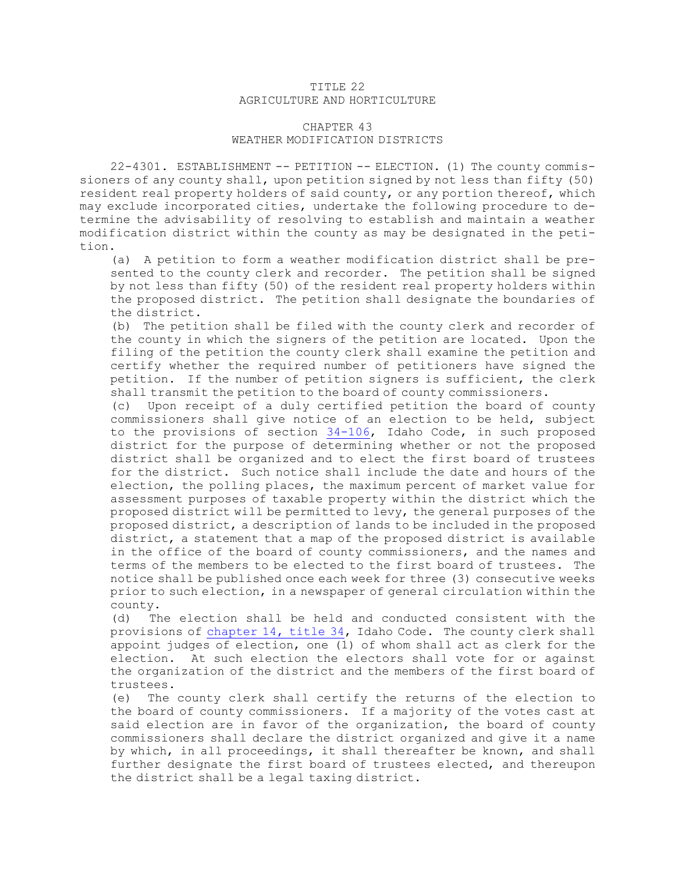## TITLE 22 AGRICULTURE AND HORTICULTURE

## CHAPTER 43 WEATHER MODIFICATION DISTRICTS

22-4301. ESTABLISHMENT -- PETITION -- ELECTION. (1) The county commissioners of any county shall, upon petition signed by not less than fifty (50) resident real property holders of said county, or any portion thereof, which may exclude incorporated cities, undertake the following procedure to determine the advisability of resolving to establish and maintain <sup>a</sup> weather modification district within the county as may be designated in the petition.

(a) <sup>A</sup> petition to form <sup>a</sup> weather modification district shall be presented to the county clerk and recorder. The petition shall be signed by not less than fifty (50) of the resident real property holders within the proposed district. The petition shall designate the boundaries of the district.

(b) The petition shall be filed with the county clerk and recorder of the county in which the signers of the petition are located. Upon the filing of the petition the county clerk shall examine the petition and certify whether the required number of petitioners have signed the petition. If the number of petition signers is sufficient, the clerk shall transmit the petition to the board of county commissioners.

(c) Upon receipt of <sup>a</sup> duly certified petition the board of county commissioners shall give notice of an election to be held, subject to the provisions of section [34-106](https://legislature.idaho.gov/statutesrules/idstat/Title34/T34CH1/SECT34-106), Idaho Code, in such proposed district for the purpose of determining whether or not the proposed district shall be organized and to elect the first board of trustees for the district. Such notice shall include the date and hours of the election, the polling places, the maximum percent of market value for assessment purposes of taxable property within the district which the proposed district will be permitted to levy, the general purposes of the proposed district, <sup>a</sup> description of lands to be included in the proposed district, <sup>a</sup> statement that <sup>a</sup> map of the proposed district is available in the office of the board of county commissioners, and the names and terms of the members to be elected to the first board of trustees. The notice shall be published once each week for three (3) consecutive weeks prior to such election, in <sup>a</sup> newspaper of general circulation within the county.

(d) The election shall be held and conducted consistent with the provisions of [chapter](https://legislature.idaho.gov/statutesrules/idstat/Title34/T34CH14) 14, title 34, Idaho Code. The county clerk shall appoint judges of election, one (1) of whom shall act as clerk for the election. At such election the electors shall vote for or against the organization of the district and the members of the first board of trustees.

(e) The county clerk shall certify the returns of the election to the board of county commissioners. If <sup>a</sup> majority of the votes cast at said election are in favor of the organization, the board of county commissioners shall declare the district organized and give it <sup>a</sup> name by which, in all proceedings, it shall thereafter be known, and shall further designate the first board of trustees elected, and thereupon the district shall be <sup>a</sup> legal taxing district.